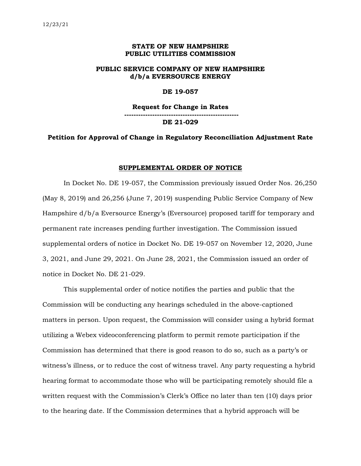#### **STATE OF NEW HAMPSHIRE PUBLIC UTILITIES COMMISSION**

### **PUBLIC SERVICE COMPANY OF NEW HAMPSHIRE d/b/a EVERSOURCE ENERGY**

#### **DE 19-057**

## **Request for Change in Rates ------------------------------------------------- DE 21-029**

### **Petition for Approval of Change in Regulatory Reconciliation Adjustment Rate**

#### **SUPPLEMENTAL ORDER OF NOTICE**

In Docket No. DE 19-057, the Commission previously issued Order Nos. 26,250 (May 8, 2019) and 26,256 (June 7, 2019) suspending Public Service Company of New Hampshire d/b/a Eversource Energy's (Eversource) proposed tariff for temporary and permanent rate increases pending further investigation. The Commission issued supplemental orders of notice in Docket No. DE 19-057 on November 12, 2020, June 3, 2021, and June 29, 2021. On June 28, 2021, the Commission issued an order of notice in Docket No. DE 21-029.

This supplemental order of notice notifies the parties and public that the Commission will be conducting any hearings scheduled in the above-captioned matters in person. Upon request, the Commission will consider using a hybrid format utilizing a Webex videoconferencing platform to permit remote participation if the Commission has determined that there is good reason to do so, such as a party's or witness's illness, or to reduce the cost of witness travel. Any party requesting a hybrid hearing format to accommodate those who will be participating remotely should file a written request with the Commission's Clerk's Office no later than ten (10) days prior to the hearing date. If the Commission determines that a hybrid approach will be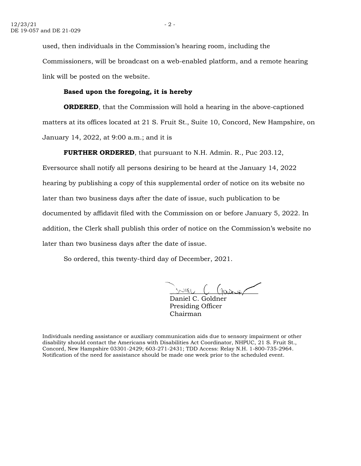used, then individuals in the Commission's hearing room, including the Commissioners, will be broadcast on a web-enabled platform, and a remote hearing link will be posted on the website.

#### **Based upon the foregoing, it is hereby**

**ORDERED**, that the Commission will hold a hearing in the above-captioned matters at its offices located at 21 S. Fruit St., Suite 10, Concord, New Hampshire, on January 14, 2022, at 9:00 a.m.; and it is

**FURTHER ORDERED**, that pursuant to N.H. Admin. R., Puc 203.12,

Eversource shall notify all persons desiring to be heard at the January 14, 2022 hearing by publishing a copy of this supplemental order of notice on its website no later than two business days after the date of issue, such publication to be documented by affidavit filed with the Commission on or before January 5, 2022. In addition, the Clerk shall publish this order of notice on the Commission's website no later than two business days after the date of issue.

So ordered, this twenty-third day of December, 2021.

 $S/NIEU$   $C$   $(1000NE)$ 

Daniel C. Goldner Presiding Officer Chairman

Individuals needing assistance or auxiliary communication aids due to sensory impairment or other disability should contact the Americans with Disabilities Act Coordinator, NHPUC, 21 S. Fruit St., Concord, New Hampshire 03301-2429; 603-271-2431; TDD Access: Relay N.H. 1-800-735-2964. Notification of the need for assistance should be made one week prior to the scheduled event.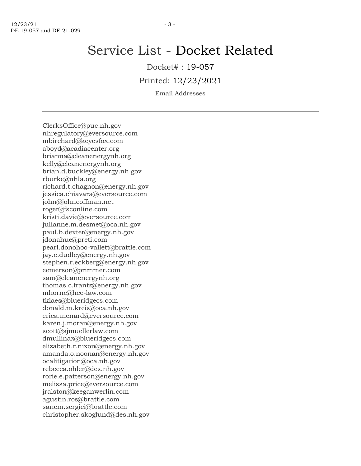## Service List - Docket Related

Docket# : 19-057

Printed: 12/23/2021

Email Addresses

ClerksOffice@puc.nh.gov nhregulatory@eversource.com mbirchard@keyesfox.com aboyd@acadiacenter.org brianna@cleanenergynh.org kelly@cleanenergynh.org brian.d.buckley@energy.nh.gov rburke@nhla.org richard.t.chagnon@energy.nh.gov jessica.chiavara@eversource.com john@johncoffman.net roger@fsconline.com kristi.davie@eversource.com julianne.m.desmet@oca.nh.gov paul.b.dexter@energy.nh.gov jdonahue@preti.com pearl.donohoo-vallett@brattle.com jay.e.dudley@energy.nh.gov stephen.r.eckberg@energy.nh.gov eemerson@primmer.com sam@cleanenergynh.org thomas.c.frantz@energy.nh.gov mhorne@hcc-law.com tklaes@blueridgecs.com donald.m.kreis@oca.nh.gov erica.menard@eversource.com karen.j.moran@energy.nh.gov scott@sjmuellerlaw.com dmullinax@blueridgecs.com elizabeth.r.nixon@energy.nh.gov amanda.o.noonan@energy.nh.gov ocalitigation@oca.nh.gov rebecca.ohler@des.nh.gov rorie.e.patterson@energy.nh.gov melissa.price@eversource.com jralston@keeganwerlin.com agustin.ros@brattle.com sanem.sergici@brattle.com christopher.skoglund@des.nh.gov